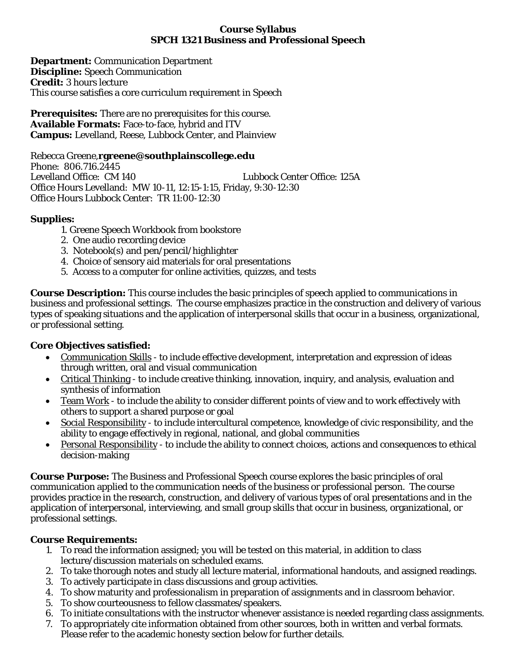#### **Course Syllabus SPCH 1321 Business and Professional Speech**

**Department:** Communication Department **Discipline:** Speech Communication **Credit:** 3 hours lecture This course satisfies a core curriculum requirement in Speech

**Prerequisites:** There are no prerequisites for this course. **Available Formats:** Face-to-face, hybrid and ITV **Campus:** Levelland, Reese, Lubbock Center, and Plainview

Rebecca Greene,**rgreene@southplainscollege.edu** Phone: 806.716.2445 Levelland Office: CM 140 Lubbock Center Office: 125A Office Hours Levelland: MW 10-11, 12:15-1:15, Friday, 9:30-12:30 Office Hours Lubbock Center: TR 11:00-12:30

## **Supplies:**

- 1. Greene Speech Workbook from bookstore
- 2. One audio recording device
- 3. Notebook(s) and pen/pencil/highlighter
- 4. Choice of sensory aid materials for oral presentations
- 5. Access to a computer for online activities, quizzes, and tests

**Course Description:** This course includes the basic principles of speech applied to communications in business and professional settings. The course emphasizes practice in the construction and delivery of various types of speaking situations and the application of interpersonal skills that occur in a business, organizational, or professional setting.

## **Core Objectives satisfied:**

- Communication Skills to include effective development, interpretation and expression of ideas through written, oral and visual communication
- Critical Thinking to include creative thinking, innovation, inquiry, and analysis, evaluation and synthesis of information
- Team Work to include the ability to consider different points of view and to work effectively with others to support a shared purpose or goal
- Social Responsibility to include intercultural competence, knowledge of civic responsibility, and the ability to engage effectively in regional, national, and global communities
- Personal Responsibility to include the ability to connect choices, actions and consequences to ethical decision-making

**Course Purpose:** The Business and Professional Speech course explores the basic principles of oral communication applied to the communication needs of the business or professional person. The course provides practice in the research, construction, and delivery of various types of oral presentations and in the application of interpersonal, interviewing, and small group skills that occur in business, organizational, or professional settings.

#### **Course Requirements:**

- 1. To read the information assigned; you will be tested on this material, in addition to class lecture/discussion materials on scheduled exams.
- 2. To take thorough notes and study all lecture material, informational handouts, and assigned readings.
- 3. To actively participate in class discussions and group activities.
- 4. To show maturity and professionalism in preparation of assignments and in classroom behavior.
- 5. To show courteousness to fellow classmates/speakers.
- 6. To initiate consultations with the instructor whenever assistance is needed regarding class assignments.
- 7. To appropriately cite information obtained from other sources, both in written and verbal formats. Please refer to the academic honesty section below for further details.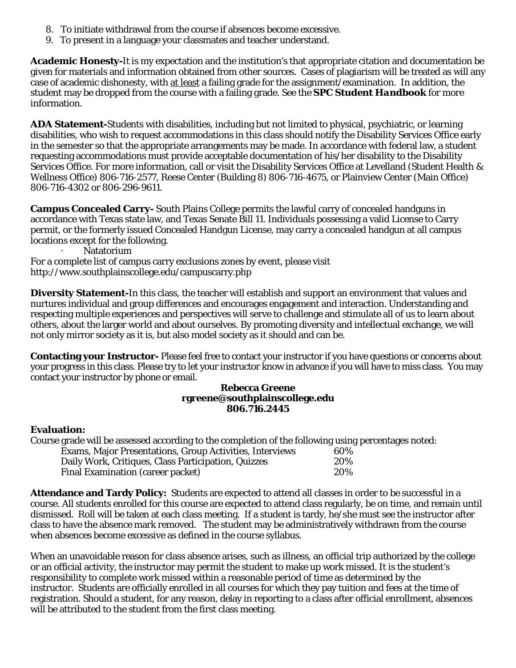- 8. To initiate withdrawal from the course if absences become excessive.
- 9. To present in a language your classmates and teacher understand.

**Academic Honesty-**It is my expectation and the institution's that appropriate citation and documentation be given for materials and information obtained from other sources. Cases of plagiarism will be treated as will any case of academic dishonesty, with at least a failing grade for the assignment/examination. In addition, the student may be dropped from the course with a failing grade. See the *SPC Student Handbook* for more information.

**ADA Statement-**Students with disabilities, including but not limited to physical, psychiatric, or learning disabilities, who wish to request accommodations in this class should notify the Disability Services Office early in the semester so that the appropriate arrangements may be made. In accordance with federal law, a student requesting accommodations must provide acceptable documentation of his/her disability to the Disability Services Office. For more information, call or visit the Disability Services Office at Levelland (Student Health & Wellness Office) 806-716-2577, Reese Center (Building 8) 806-716-4675, or Plainview Center (Main Office) 806-716-4302 or 806-296-9611.

**Campus Concealed Carry-** South Plains College permits the lawful carry of concealed handguns in accordance with Texas state law, and Texas Senate Bill 11. Individuals possessing a valid License to Carry permit, or the formerly issued Concealed Handgun License, may carry a concealed handgun at all campus locations except for the following.

Natatorium

For a complete list of campus carry exclusions zones by event, please visit http://www.southplainscollege.edu/campuscarry.php

**Diversity Statement-**In this class, the teacher will establish and support an environment that values and nurtures individual and group differences and encourages engagement and interaction. Understanding and respecting multiple experiences and perspectives will serve to challenge and stimulate all of us to learn about others, about the larger world and about ourselves. By promoting diversity and intellectual exchange, we will not only mirror society as it is, but also model society as it should and can be.

**Contacting your Instructor-** Please feel free to contact your instructor if you have questions or concerns about your progress in this class. Please try to let your instructor know in advance if you will have to miss class. You may contact your instructor by phone or email.

#### **Rebecca Greene rgreene@southplainscollege.edu 806.716.2445**

#### **Evaluation:**

Course grade will be assessed according to the completion of the following using percentages noted:

|                                          | Exams, Major Presentations, Group Activities, Interviews | 60% |
|------------------------------------------|----------------------------------------------------------|-----|
|                                          | Daily Work, Critiques, Class Participation, Quizzes      | 20% |
| <b>Final Examination (career packet)</b> |                                                          | 20% |

**Attendance and Tardy Policy:** Students are expected to attend all classes in order to be successful in a course. All students enrolled for this course are expected to attend class regularly, be on time, and remain until dismissed. Roll will be taken at each class meeting. If a student is tardy, he/she must see the instructor after class to have the absence mark removed. The student may be administratively withdrawn from the course when absences become excessive as defined in the course syllabus.

When an unavoidable reason for class absence arises, such as illness, an official trip authorized by the college or an official activity, the instructor may permit the student to make up work missed. It is the student's responsibility to complete work missed within a reasonable period of time as determined by the instructor. Students are officially enrolled in all courses for which they pay tuition and fees at the time of registration. Should a student, for any reason, delay in reporting to a class after official enrollment, absences will be attributed to the student from the first class meeting.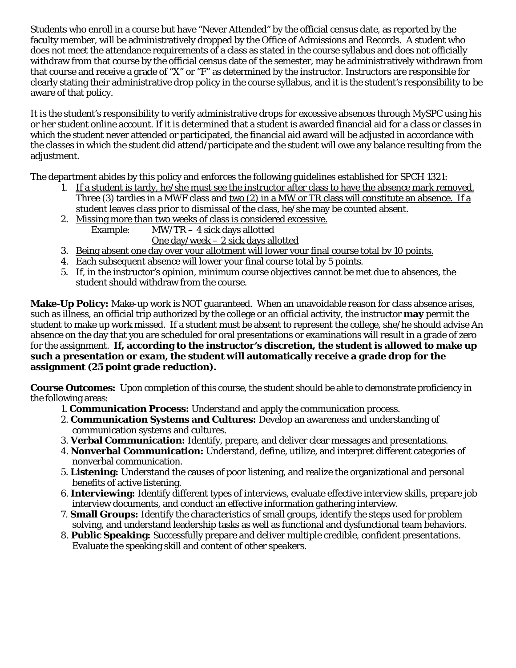Students who enroll in a course but have "Never Attended" by the official census date, as reported by the faculty member, will be administratively dropped by the Office of Admissions and Records. A student who does not meet the attendance requirements of a class as stated in the course syllabus and does not officially withdraw from that course by the official census date of the semester, may be administratively withdrawn from that course and receive a grade of "X" or "F" as determined by the instructor. Instructors are responsible for clearly stating their administrative drop policy in the course syllabus, and it is the student's responsibility to be aware of that policy.

It is the student's responsibility to verify administrative drops for excessive absences through MySPC using his or her student online account. If it is determined that a student is awarded financial aid for a class or classes in which the student never attended or participated, the financial aid award will be adjusted in accordance with the classes in which the student did attend/participate and the student will owe any balance resulting from the adjustment.

The department abides by this policy and enforces the following guidelines established for SPCH 1321:

- 1. If a student is tardy, he/she must see the instructor after class to have the absence mark removed. Three (3) tardies in a MWF class and two (2) in a MW or TR class will constitute an absence. If a student leaves class prior to dismissal of the class, he/she may be counted absent.
- 2. Missing more than two weeks of class is considered excessive. Example:  $MW/TR - 4$  sick days allotted One day/week – 2 sick days allotted
- 3. Being absent one day over your allotment will lower your final course total by 10 points.
- 4. Each subsequent absence will lower your final course total by 5 points.
- 5. If, in the instructor's opinion, minimum course objectives cannot be met due to absences, the student should withdraw from the course.

**Make-Up Policy:** Make-up work is NOT guaranteed. When an unavoidable reason for class absence arises, such as illness, an official trip authorized by the college or an official activity, the instructor **may** permit the student to make up work missed. If a student must be absent to represent the college, she/he should advise An absence on the day that you are scheduled for oral presentations or examinations will result in a grade of zero for the assignment. **If, according to the instructor's discretion, the student is allowed to make up such a presentation or exam, the student will automatically receive a grade drop for the assignment (25 point grade reduction).**

**Course Outcomes:** Upon completion of this course, the student should be able to demonstrate proficiency in the following areas:

- 1. **Communication Process:** Understand and apply the communication process.
- 2. **Communication Systems and Cultures:** Develop an awareness and understanding of communication systems and cultures.
- 3. **Verbal Communication:** Identify, prepare, and deliver clear messages and presentations.
- 4. **Nonverbal Communication:** Understand, define, utilize, and interpret different categories of nonverbal communication.
- 5. **Listening:** Understand the causes of poor listening, and realize the organizational and personal benefits of active listening.
- 6. **Interviewing:** Identify different types of interviews, evaluate effective interview skills, prepare job interview documents, and conduct an effective information gathering interview.
- 7. **Small Groups:** Identify the characteristics of small groups, identify the steps used for problem solving, and understand leadership tasks as well as functional and dysfunctional team behaviors.
- 8. **Public Speaking:** Successfully prepare and deliver multiple credible, confident presentations. Evaluate the speaking skill and content of other speakers.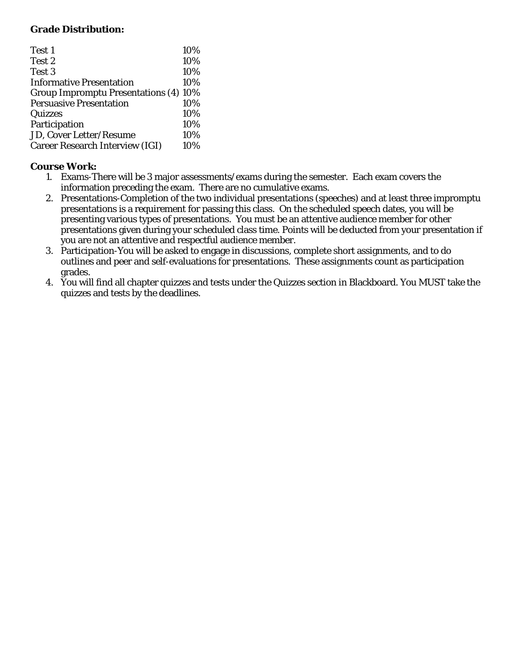## **Grade Distribution:**

| Test 1                                       | 10% |
|----------------------------------------------|-----|
| Test 2                                       | 10% |
| Test 3                                       | 10% |
| <b>Informative Presentation</b>              | 10% |
| <b>Group Impromptu Presentations (4) 10%</b> |     |
| <b>Persuasive Presentation</b>               | 10% |
| Quizzes                                      | 10% |
| Participation                                | 10% |
| <b>JD, Cover Letter/Resume</b>               | 10% |
| <b>Career Research Interview (IGI)</b>       | 10% |

## **Course Work:**

- 1. Exams-There will be 3 major assessments/exams during the semester. Each exam covers the information preceding the exam. There are no cumulative exams.
- 2. Presentations-Completion of the two individual presentations (speeches) and at least three impromptu presentations is a requirement for passing this class. On the scheduled speech dates, you will be presenting various types of presentations. You must be an attentive audience member for other presentations given during your scheduled class time. Points will be deducted from your presentation if you are not an attentive and respectful audience member.
- 3. Participation-You will be asked to engage in discussions, complete short assignments, and to do outlines and peer and self-evaluations for presentations. These assignments count as participation grades.
- 4. You will find all chapter quizzes and tests under the Quizzes section in Blackboard. You MUST take the quizzes and tests by the deadlines.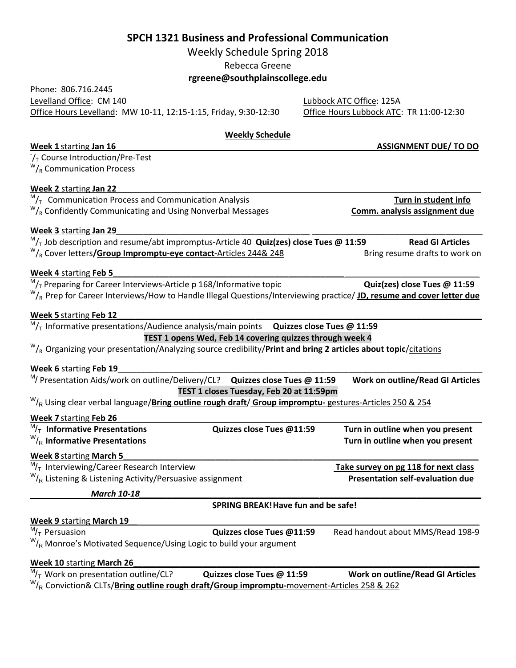## **SPCH 1321 Business and Professional Communication**

Weekly Schedule Spring 2018

Rebecca Greene

**rgreene@southplainscollege.edu**

Lubbock ATC Office: 125A Office Hours Lubbock ATC: TR 11:00-12:30

# **Weekly Schedule Week 1** starting **Jan 16** \_\_\_\_ \_\_\_\_\_\_\_\_**ASSIGNMENT DUE/ TO DO**  $V_T$  Course Introduction/Pre-Test<br><sup>W</sup>/<sub>R</sub> Communication Process **Week 2** starting **Jan 22** *\_\_\_\_\_\_\_\_\_\_\_\_\_\_\_\_\_\_\_\_\_\_\_\_\_\_\_\_\_\_\_\_\_\_\_\_\_\_\_\_\_\_\_\_\_\_\_\_\_\_\_\_\_\_\_\_\_\_\_\_\_\_\_\_\_\_\_\_\_\_\_\_\_\_\_\_\_\_* M<sub>/T</sub> Communication Process and Communication Analysis **Turn in student info in Student info Communication Analysis Comm. analysis assignment due**<br><sup>W</sup>/<sub>R</sub> Confidently Communicating and Using Nonverbal Messages **Comm. ana Week 3** starting **Jan 29***\_\_\_\_\_\_\_\_\_\_\_\_\_\_\_\_\_\_\_\_\_\_\_\_\_\_\_\_\_\_\_\_\_\_\_\_\_\_\_\_\_\_ \_\_\_\_\_\_\_\_\_\_\_\_\_\_\_\_\_\_\_\_\_\_\_\_\_\_\_\_\_\_\_\_\_\_\_\_\_*  $M_{\rm T}$  Job description and resume/abt impromptus-Article 40 Quiz(zes) close Tues @ 11:59 **Read GI Articles**<br>W<sub>/R</sub> Cover letters**/Group Impromptu-eye contact**-Articles 244& 248 **Bring resume drafts to work on Week 4** starting **Feb 5\_\_\_\_\_\_\_\_\_\_\_\_\_\_\_\_\_\_\_\_\_\_\_\_\_\_\_\_\_\_\_\_\_\_\_\_\_\_\_\_\_\_\_\_\_\_\_\_\_\_** *\_\_\_\_\_\_\_\_\_\_\_\_\_\_\_\_\_\_\_\_\_\_\_\_\_\_\_\_\_*  $^{\mathsf{M}}$ /<sub>T</sub> Preparing for Career Interviews-Article p 168/Informative topic **Quiz(zes) close Tues @ 11:59**<br>W<sub>/R</sub> Prep for Career Interviews/How to Handle Illegal Questions/Interviewing practice/ **JD, resume and cover le** Week 5 starting Feb 12  $M/T$  Informative presentations/Audience analysis/main points **Quizzes close Tues @ 11:59 TEST 1 opens Wed, Feb 14 covering quizzes through week 4** W/R Organizing your presentation/Analyzing source credibility/**Print and bring 2 articles about topic**/citations Week 6 starting Feb 19 M/ Presentation Aids/work on outline/Delivery/CL? **Quizzes close Tues @ 11:59 Work on outline/Read GI Articles TEST 1 closes Tuesday, Feb 20 at 11:59pm** W/R Using clear verbal language/**Bring outline rough draft**/ **Group impromptu-** gestures-Articles 250 & 254 **Week 7** starting **Feb 26***\_\_\_\_\_\_\_\_\_\_\_\_\_\_\_\_\_\_\_\_\_\_\_\_\_\_\_\_\_\_\_\_\_\_\_\_\_\_\_\_\_\_\_\_\_\_\_\_\_\_\_\_\_\_\_\_\_\_\_\_\_\_\_\_\_\_\_\_\_\_\_\_\_\_\_\_\_\_\_* M/T **Informative Presentations Quizzes close Tues @11:59 Turn in outline when you present**  $W_{\mathsf{R}}$  Informative Presentations **Turn in outline when you present** Week 8 starting March 5  $M/T$  Interviewing/Career Research Interview **Take survey on pg 118 for next class** <sup>W</sup>/<sub>R</sub> Listening & Listening Activity/Persuasive assignment **Presentation self-evaluation due** *March 10-18\_\_\_\_\_\_\_\_\_\_\_\_\_\_\_\_\_\_\_\_\_\_\_\_\_\_\_\_\_\_\_\_\_\_\_\_\_\_\_*\_\_\_\_\_\_\_\_\_\_\_\_\_\_\_\_\_\_\_\_\_\_\_\_\_\_\_\_\_\_\_\_\_\_\_ **SPRING BREAK!Have fun and be safe! Week 9** starting **March 19***\_\_\_\_\_\_\_\_\_\_\_\_\_\_\_\_\_\_\_\_\_\_\_\_\_\_\_\_\_\_\_\_\_\_\_\_\_\_\_\_\_\_\_\_\_\_\_\_\_\_\_\_\_\_\_\_\_\_\_\_\_\_\_\_\_\_\_\_\_\_\_\_\_\_\_\_* <sup>M</sup>/<sub>T</sub> Persuasion **Called Accord Cuizzes close Tues @11:59** Read handout about MMS/Read 198-9  $W_{\text{R}}$  Monroe's Motivated Sequence/Using Logic to build your argument Week 10 starting March 26  $M/T$  Work on presentation outline/CL? **Quizzes close Tues @ 11:59 Work on outline/Read GI Articles**

W/R Conviction& CLTs/**Bring outline rough draft/Group impromptu-**movement-Articles 258 & 262